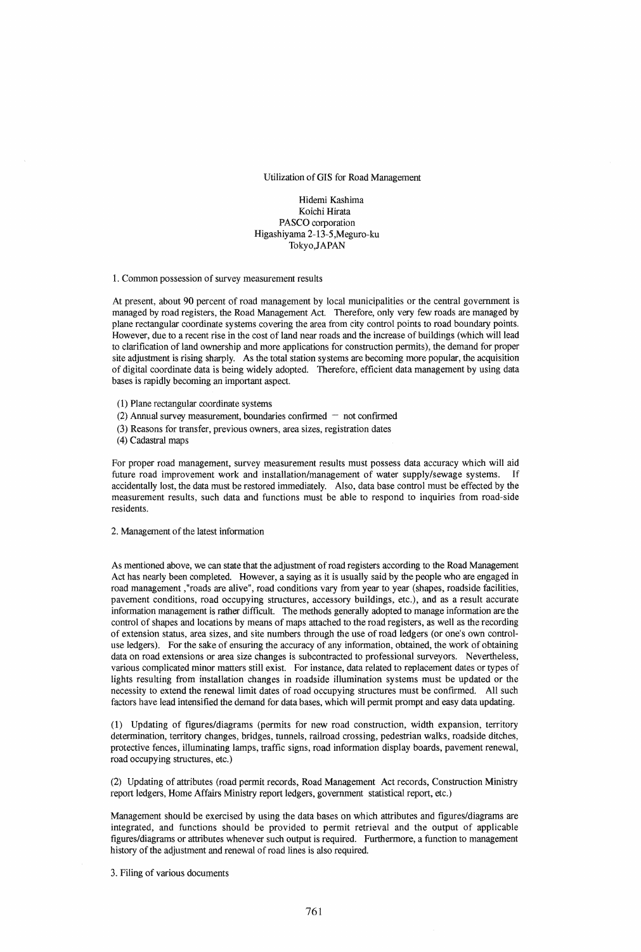Utilization of GIS for Road Management

Hidemi Kashima Koichi Hirata PASCO corporation Higashiyama 2-13-5,Meguro-ku Tokyo,JAPAN

1. Common possession of survey measurement results

At present, about 90 percent of road management by local municipalities or the central government is managed by road registers, the Road Management Act. Therefore, only very few roads are managed by plane rectangular coordinate systems covering the area from city control points to road boundary points. However, due to a recent rise in the cost of land near roads and the increase of buildings (which will lead to clarification of land ownership and more applications for construction permits), the demand for proper site adjustment is rising sharply. As the total station systems are becoming more popular, the acquisition of digital coordinate data is being widely adopted. Therefore, efficient data management by using data bases is rapidly becoming an important aspect.

(1) Plane rectangular coordinate systems

- (2) Annual survey measurement, boundaries confirmed  $-$  not confirmed
- (3) Reasons for transfer, previous owners, area sizes, registration dates

(4) Cadastral maps

For proper road management, survey measurement results must possess data accuracy which will aid future road improvement work and installation/management of water supply/sewage systems. If accidentally lost, the data must be restored immediately. Also, data base control must be effected by the measurement results, such data and functions must be able to respond to inquiries from road-side residents.

2. Management of the latest information

As mentioned above, we can state that the adjustment of road registers according to the Road Management Act has nearly been completed. However, a saying as it is usually said by the people who are engaged in road management ,"roads are alive", road conditions vary from year to year (shapes, roadside facilities, pavement conditions, road occupying structures, accessory buildings, etc.), and as a result accurate information management is rather difficult. The methods generally adopted to manage information are the control of shapes and locations by means of maps attached to the road registers, as well as the recording of extension status, area sizes, and site numbers through the use of road ledgers (or one's own controluse ledgers). For the sake of ensuring the accuracy of any information, obtained, the work of obtaining data on road extensions or area size changes is subcontracted to professional surveyors. Nevertheless, various complicated minor matters still exist. For instance, data related to replacement dates or types of lights resulting from installation changes in roadside illumination systems must be updated or the necessity to extend the renewal limit dates of road occupying structures must be confirmed. All such factors have lead intensified the demand for data bases, which will permit prompt and easy data updating.

(1) Updating of figures/diagrams (permits for new road construction, width expansion, territory determination, territory changes, bridges, tunnels, railroad crossing, pedestrian walks, roadside ditches, protective fences, illuminating lamps, traffic signs, road information display boards, pavement renewal, road occupying structures, etc.)

(2) Updating of attributes (road permit records, Road Management Act records, Construction Ministry report ledgers, Home Affairs Ministry report ledgers, government statistical report, etc.)

Management should be exercised by using the data bases on which attributes and figures/diagrams are integrated, and functions should be provided to permit retrieval and the output of applicable figures/diagrams or attributes whenever such output is required. Furthermore, a function to management history of the adjustment and renewal of road lines is also required.

3. Filing of various documents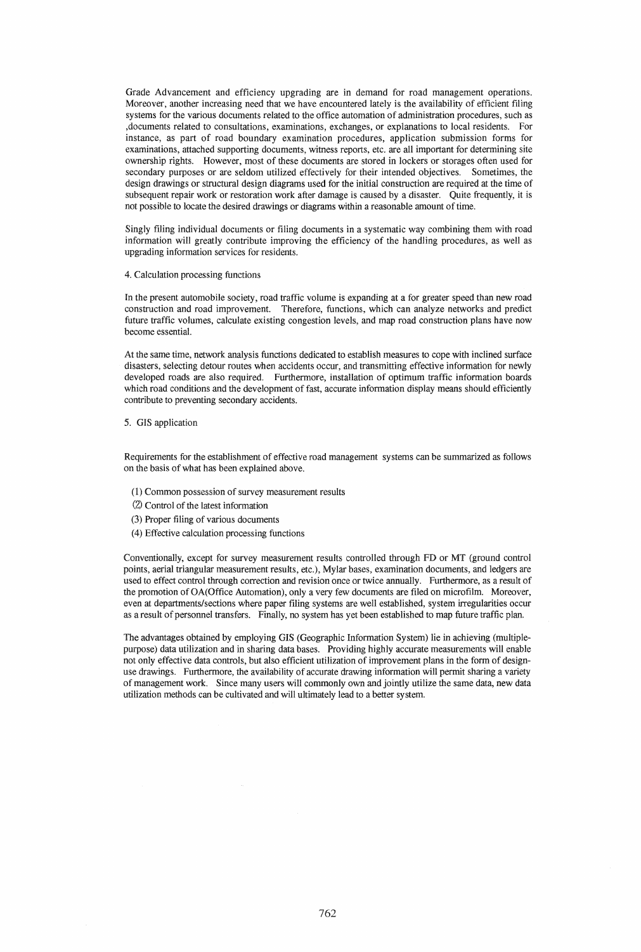Grade Advancement and efficiency upgrading are in demand for road management operations. Moreover, another increasing need that we have encountered lately is the availability of efficient filing systems for the various documents related to the office automation of administration procedures, such as ,documents related to consultations, examinations, exchanges, or explanations to local residents. For instance, as part of road boundary examination procedures, application submission forms for examinations, attached supporting documents, witness reports, etc. are all important for determining site ownership rights. However, most of these documents are stored in lockers or storages often used for secondary purposes or are seldom utilized effectively for their intended objectives. Sometimes, the design drawings or structural design diagrams used for the initial construction are required at the time of subsequent repair work or restoration work after damage is caused by a disaster. Quite frequently, it is not possible to locate the desired drawings or diagrams within a reasonable amount of time.

Singly filing individual documents or filing documents in a systematic way combining them with road information will greatly contribute improving the efficiency of the handling procedures, as well as upgrading information services for residents.

### 4. Calculation processing functions

In the present automobile society, road traffic volume is expanding at a for greater speed than new road construction and road improvement. Therefore, functions, which can analyze networks and predict future traffic volumes, calculate existing congestion levels, and map road construction plans have now become essential.

At the same time, network analysis functions dedicated to establish measures to cope with inclined surface disasters, selecting detour routes when accidents occur, and transmitting effective information for newly developed roads are also required. Furthermore, installation of optimum traffic information boards which road conditions and the development of fast, accurate information display means should efficiently contribute to preventing secondary accidents.

# 5. GIS application

Requirements for the establishment of effective road management systems can be summarized as follows on the basis of what has been explained above.

- (1) Common possession of survey measurement results
- (2) Control of the latest information
- (3) Proper filing of various documents
- (4) Effective calculation processing functions

Conventionally, except for survey measurement results controlled through FD or MT (ground control points, aerial triangular measurement results, etc.), Mylar bases, examination documents, and ledgers are used to effect control through correction and revision once or twice annually. Furthermore, as a result of the promotion of OA(Office Automation), only a very few documents are filed on microfilm. Moreover, even at departments/sections where paper filing systems are well established, system irregularities occur as a result of personnel transfers. Finally, no system has yet been established to map future traffic plan.

The advantages obtained by employing GIS (Geographic Information System) lie in achieving (multiplepurpose) data utilization and in sharing data bases. Providing highly accurate measurements will enable not only effective data controls, but also efficient utilization of improvement plans in the form of designuse drawings. Furthermore, the availability of accurate drawing information will permit sharing a variety of management work. Since many users will commonly own and jointly utilize the same data, new data utilization methods can be cultivated and will ultimately lead to a better system.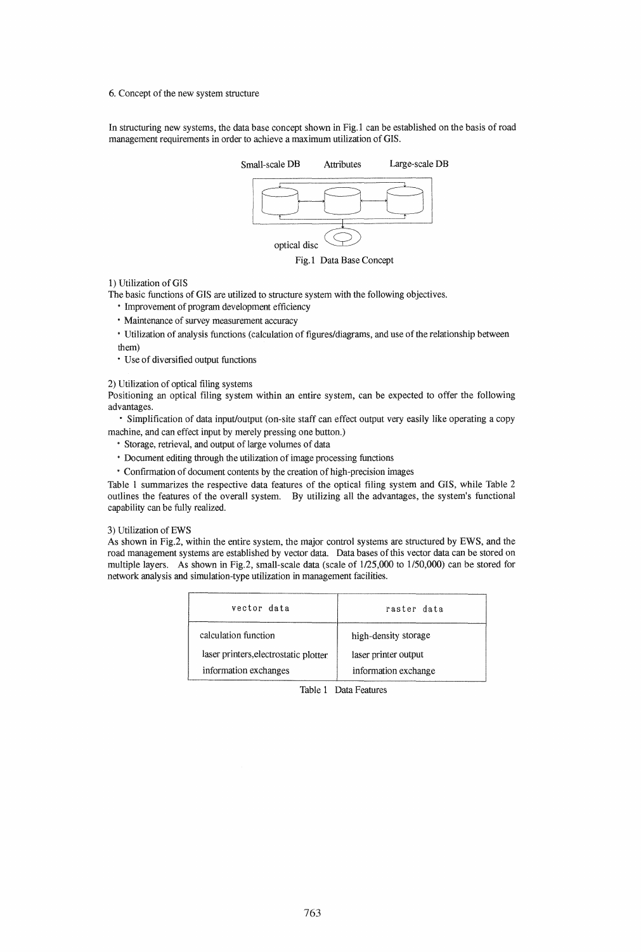6. Concept of the new system structure

In structuring new systems, the data base concept shown in Fig.1 can be established on the basis of road management requirements in order to achieve a maximum utilization of GIS.



Fig.1 Data Base Concept

# 1) Utilization of GIS

The basic functions of GIS are utilized to structure system with the following objectives.

- Improvement of program development efficiency
- Maintenance of survey measurement accuracy
- Utilization of analysis functions (calculation of figures/diagrams, and use of the relationship between them)
- Use of diversified output functions

2) Utilization of optical filing systems

Positioning an optical filing system within an entire system, can be expected to offer the following advantages.

• Simplification of data input/output (on-site staff can effect output very easily like operating a copy machine, and can effect input by merely pressing one button.)

- Storage, retrieval, and output of large volumes of data
- Document editing through the utilization of image processing functions
- Confirmation of document contents by the creation of high-precision images

Table 1 summarizes the respective data features of the optical filing system and GIS, while Table 2 outlines the features of the overall system. By utilizing aU the advantages, the system's functional capability can be fully realized.

### 3) Utilization of EWS

As shown in Fig.2, within the entire system, the major control systems are structured by EWS, and the road management systems are established by vector data. Data bases of this vector data can be stored on multiple layers. As shown in Fig.2, small-scale data (scale of  $1/25,000$  to  $1/50,000$ ) can be stored for network analysis and simulation-type utilization in management facilities.

| vector data                           | raster data          |
|---------------------------------------|----------------------|
| calculation function                  | high-density storage |
| laser printers, electrostatic plotter | laser printer output |
| information exchanges                 | information exchange |

Table 1 Data Features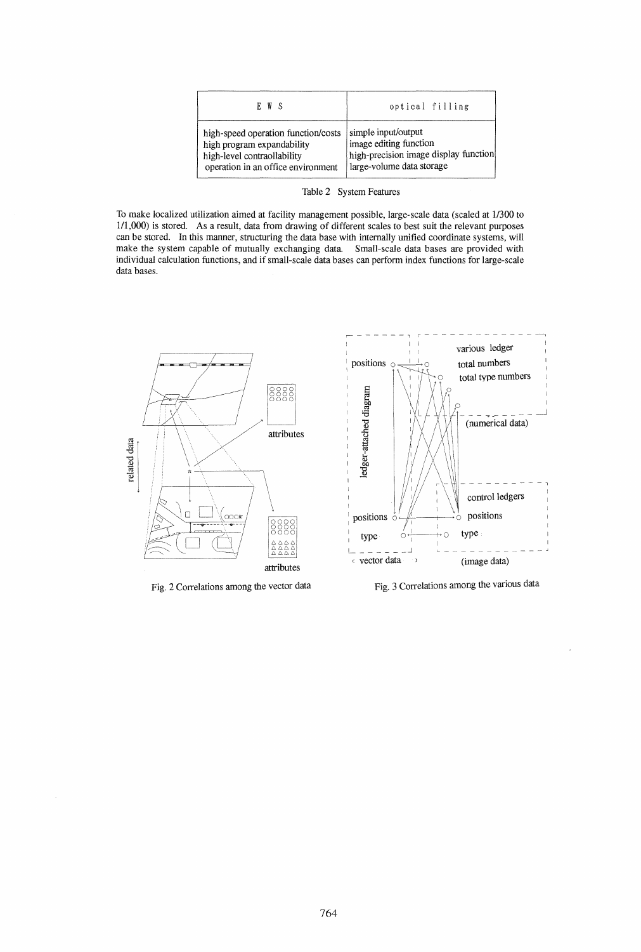| E W S                               | optical filling                       |
|-------------------------------------|---------------------------------------|
| high-speed operation function/costs | simple input/output                   |
| high program expandability          | image editing function                |
| high-level contraollability         | high-precision image display function |
| operation in an office environment  | large-volume data storage             |

Table 2 System Features

To make localized utilization aimed at facility management possible, large-scale data (scaled at 1/300 to 111,000) is stored. As a result, data from drawing of different scales to best suit the relevant purposes can be stored. In this manner, structuring the data base with internally unified coordinate systems, will make the system capable of mutually exchanging data. Small-scale data bases are provided with individual calculation functions, and if small-scale data bases can perform index functions for large-scale data bases.



Fig. 2 Correlations among the vector data



Fig. 3 Correlations among the various data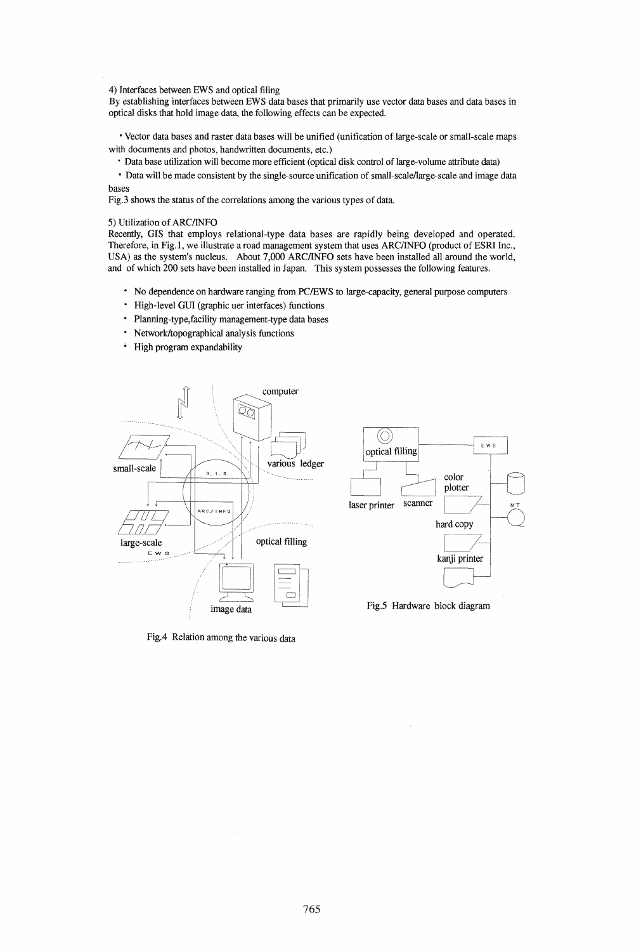### 4) Interfaces between EWS and optical filing

By establishing interfaces between EWS data bases that primarily use vector data bases and data bases in optical disks that hold image data, the following effects can be expected .

• Vector data bases and raster data bases will be unified (unification of large-scale or small-scale maps with documents and photos, handwritten documents, etc.)

• Data base utilization will become more efficient (optical disk control of large-volume attribute data)

• Data will be made consistent by the single-source unification of small-scale/large-scale and image data bases

Fig.3 shows the status of the correlations among the various types of data.

#### 5) Utilization of ARC/INFO

Recently, GIS that employs relational-type data bases are rapidly being developed and operated. Therefore, in Fig.1, we illustrate a road management system that uses ARC/INFO (product of ESRI Inc., USA) as the system's nucleus. About 7,000 ARCIINFO sets have been installed all around the world, and of which 200 sets have been installed in Japan. This system possesses the following features.

- No dependence on hardware ranging from PC/EWS to large-capacity, general purpose computers
- High-level GUI (graphic uer interfaces) functions
- Planning-type,facility management-type data bases
- Network/topographical analysis functions
- High program expandability



Fig.4 Relation among the various data



Fig.5 Hardware block diagram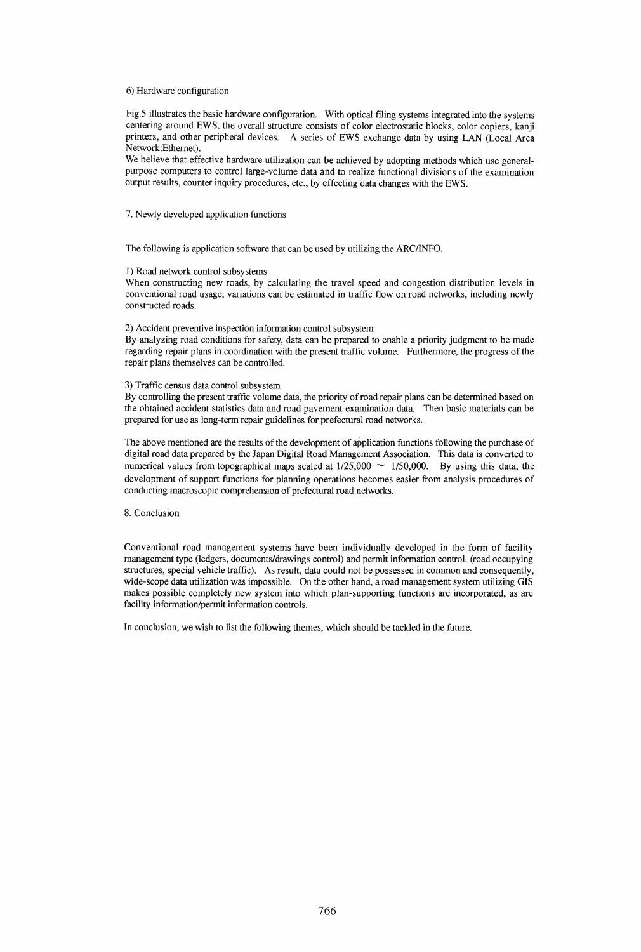### 6) Hardware configuration

Fig.5 illustrates the basic hardware configuration. With optical filing systems integrated into the systems centering around EWS, the overall structure consists of color electrostatic blocks, color copiers, kanji printers, and other peripheral devices. A series of EWS exchange data by using LAN (Local Area Network:Ethemet).

We believe that effective hardware utilization can be achieved by adopting methods which use generalpurpose computers to control large-volume data and to realize functional divisions of the examination output results, counter inquiry procedures, etc., by effecting data changes with the EWS.

7. Newly developed application functions

The following is application software that can be used by utilizing the ARCIINFO.

#### 1) Road network control subsystems

When constructing new roads, by calculating the travel speed and congestion distribution levels in conventional road usage, variations can be estimated in traffic flow on road networks, including newly constructed roads.

#### 2) Accident preventive inspection information control subsystem

By analyzing road conditions for safety, data can be prepared to enable a priority judgment to be made regarding repair plans in coordination with the present traffic volume. Furthermore, the progress of the repair plans themselves can be controlled.

# 3) Traffic census data control subsystem

By controlling the present traffic volume data, the priority of road repair plans can be determined based on the obtained accident statistics data and road pavement examination data. Then basic materials can be prepared for use as long-term repair guidelines for prefectural road networks.

The above mentioned are the results of the development of application functions following the purchase of digital road data prepared by the Japan Digital Road Management Association. This data is converted to numerical values from topographical maps scaled at  $1/25,000 \sim 1/50,000$ . By using this data, the development of support functions for planning operations becomes easier from analysis procedures of conducting macroscopic comprehension of prefectural road networks.

# 8. Conclusion

Conventional road management systems have been individually developed in the form of facility management type (ledgers, documents/drawings control) and permit information control. (road occupying structures, special vehicle traffic). As result, data could not be possessed in common and consequently, wide-scope data utilization was impossible. On the other hand, a road management system utilizing GIS makes possible completely new system into which plan-supporting functions are incorporated, as are facility information/permit information controls.

In conclusion, we wish to list the following themes, which should be tackled in the future.